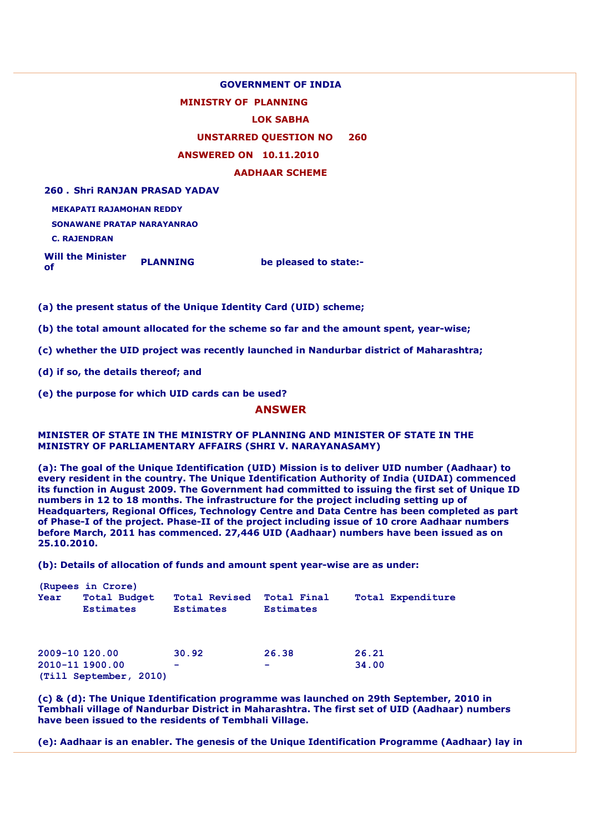## **GOVERNMENT OF INDIA**

### **MINISTRY OF PLANNING**

#### **LOK SABHA**

## **UNSTARRED QUESTION NO 260**

### **ANSWERED ON 10.11.2010**

**AADHAAR SCHEME**

**260 . Shri RANJAN PRASAD YADAV**

**MEKAPATI RAJAMOHAN REDDY**

**SONAWANE PRATAP NARAYANRAO**

**C. RAJENDRAN**

**Will the Minister of** *PLANNING* **be pleased to state:- of** 

**(a) the present status of the Unique Identity Card (UID) scheme;** 

**(b) the total amount allocated for the scheme so far and the amount spent, year-wise;** 

**(c) whether the UID project was recently launched in Nandurbar district of Maharashtra;** 

**(d) if so, the details thereof; and** 

**(e) the purpose for which UID cards can be used?** 

# **ANSWER**

### **MINISTER OF STATE IN THE MINISTRY OF PLANNING AND MINISTER OF STATE IN THE MINISTRY OF PARLIAMENTARY AFFAIRS (SHRI V. NARAYANASAMY)**

**(a): The goal of the Unique Identification (UID) Mission is to deliver UID number (Aadhaar) to every resident in the country. The Unique Identification Authority of India (UIDAI) commenced its function in August 2009. The Government had committed to issuing the first set of Unique ID numbers in 12 to 18 months. The infrastructure for the project including setting up of Headquarters, Regional Offices, Technology Centre and Data Centre has been completed as part of Phase-I of the project. Phase-II of the project including issue of 10 crore Aadhaar numbers before March, 2011 has commenced. 27,446 UID (Aadhaar) numbers have been issued as on 25.10.2010.** 

**(b): Details of allocation of funds and amount spent year-wise are as under:** 

| Year                              | (Rupees in Crore)<br><b>Total Budget</b> | <b>Total Revised</b> | Total Final                       | Total Expenditure |
|-----------------------------------|------------------------------------------|----------------------|-----------------------------------|-------------------|
|                                   | <b>Estimates</b>                         | <b>Estimates</b>     | <b>Estimates</b>                  |                   |
| 2009-10 120.00<br>2010-11 1900.00 | (Till September, 2010)                   | 30.92<br>-           | 26.38<br>$\overline{\phantom{a}}$ | 26.21<br>34.00    |

**(c) & (d): The Unique Identification programme was launched on 29th September, 2010 in Tembhali village of Nandurbar District in Maharashtra. The first set of UID (Aadhaar) numbers have been issued to the residents of Tembhali Village.** 

**(e): Aadhaar is an enabler. The genesis of the Unique Identification Programme (Aadhaar) lay in**